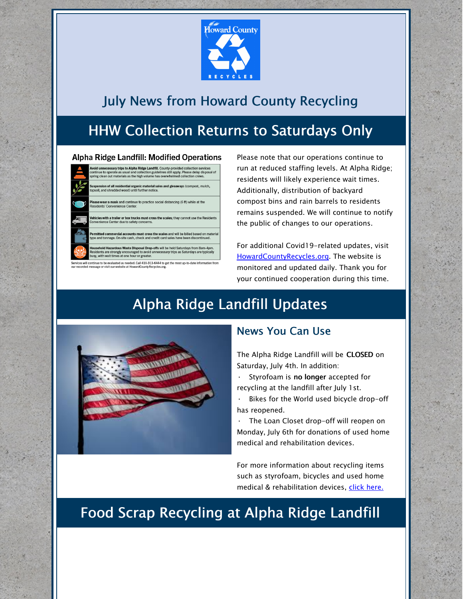

### July News from Howard County Recycling

# HHW Collection Returns to Saturdays Only

#### **Alpha Ridge Landfill: Modified Operations**



ded. Call 410-313-6444 to get the most up-to-da

Please note that our operations continue to run at reduced staffing levels. At Alpha Ridge; residents will likely experience wait times. Additionally, distribution of backyard compost bins and rain barrels to residents remains suspended. We will continue to notify the public of changes to our operations.

For additional Covid19-related updates, visit [HowardCountyRecycles.org](http://www.howardcountyrecycles.org/). The website is monitored and updated daily. Thank you for your continued cooperation during this time.

## Alpha Ridge Landfill Updates



#### News You Can Use

The Alpha Ridge Landfill will be CLOSED on Saturday, July 4th. In addition:

Styrofoam is no longer accepted for recycling at the landfill after July 1st.

Bikes for the World used bicycle drop-off has reopened.

· The Loan Closet drop-off will reopen on Monday, July 6th for donations of used home medical and rehabilitation devices.

For more information about recycling items such as styrofoam, bicycles and used home medical & rehabilitation devices, click [here.](https://www.howardcountymd.gov/Departments/Public-Works/Bureau-Of-Environmental-Services/What-Should-I-Do-With)

### Food Scrap Recycling at Alpha Ridge Landfill